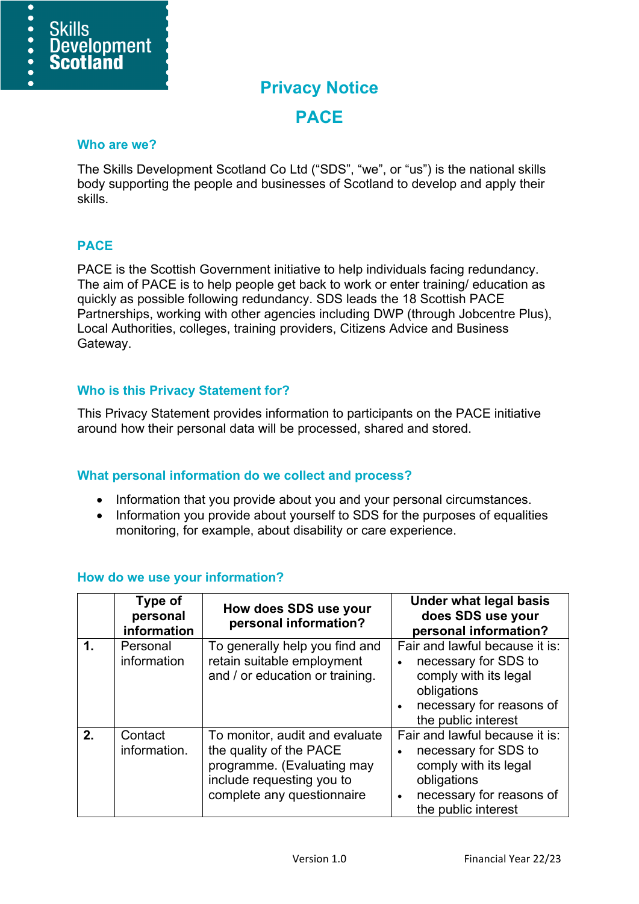

# **Privacy Notice PACE**

#### **Who are we?**

The Skills Development Scotland Co Ltd ("SDS", "we", or "us") is the national skills body supporting the people and businesses of Scotland to develop and apply their skills.

### **PACE**

PACE is the Scottish Government initiative to help individuals facing redundancy. The aim of PACE is to help people get back to work or enter training/ education as quickly as possible following redundancy. SDS leads the 18 Scottish PACE Partnerships, working with other agencies including DWP (through Jobcentre Plus), Local Authorities, colleges, training providers, Citizens Advice and Business Gateway.

#### **Who is this Privacy Statement for?**

This Privacy Statement provides information to participants on the PACE initiative around how their personal data will be processed, shared and stored.

### **What personal information do we collect and process?**

- Information that you provide about you and your personal circumstances.
- Information you provide about yourself to SDS for the purposes of equalities monitoring, for example, about disability or care experience.

|               | Type of<br>personal<br>information | How does SDS use your<br>personal information?                                                                                                     | <b>Under what legal basis</b><br>does SDS use your<br>personal information?                                                                                    |
|---------------|------------------------------------|----------------------------------------------------------------------------------------------------------------------------------------------------|----------------------------------------------------------------------------------------------------------------------------------------------------------------|
| $\mathbf 1$ . | Personal<br>information            | To generally help you find and<br>retain suitable employment<br>and / or education or training.                                                    | Fair and lawful because it is:<br>necessary for SDS to<br>comply with its legal<br>obligations<br>necessary for reasons of<br>the public interest              |
| 2.            | Contact<br>information.            | To monitor, audit and evaluate<br>the quality of the PACE<br>programme. (Evaluating may<br>include requesting you to<br>complete any questionnaire | Fair and lawful because it is:<br>necessary for SDS to<br>comply with its legal<br>obligations<br>necessary for reasons of<br>$\bullet$<br>the public interest |

### **How do we use your information?**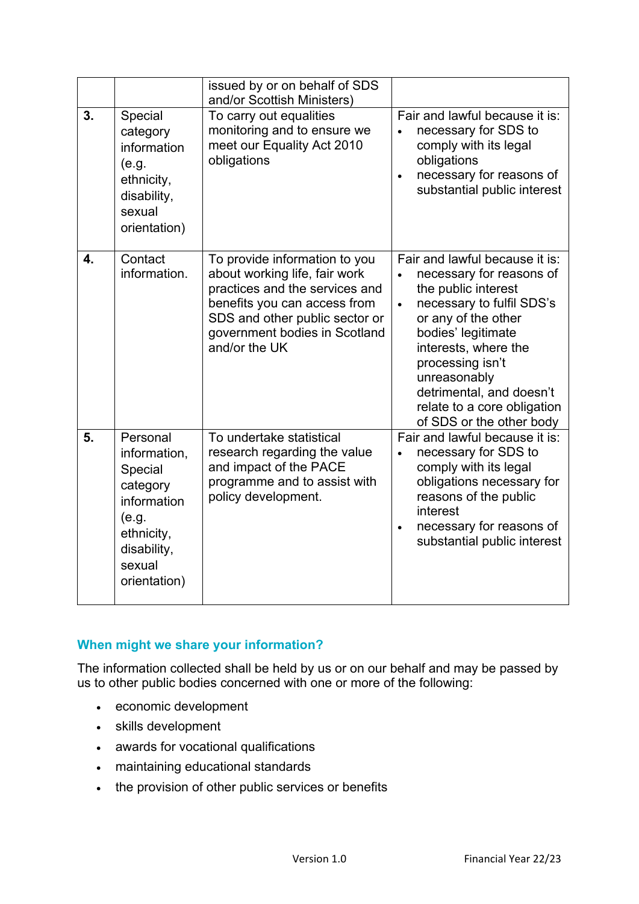|    |                                                                                                                                | issued by or on behalf of SDS<br>and/or Scottish Ministers)                                                                                                                                                          |                                                                                                                                                                                                                                                                                                                             |
|----|--------------------------------------------------------------------------------------------------------------------------------|----------------------------------------------------------------------------------------------------------------------------------------------------------------------------------------------------------------------|-----------------------------------------------------------------------------------------------------------------------------------------------------------------------------------------------------------------------------------------------------------------------------------------------------------------------------|
| 3. | Special<br>category<br>information<br>(e.g.<br>ethnicity,<br>disability,<br>sexual<br>orientation)                             | To carry out equalities<br>monitoring and to ensure we<br>meet our Equality Act 2010<br>obligations                                                                                                                  | Fair and lawful because it is:<br>necessary for SDS to<br>comply with its legal<br>obligations<br>necessary for reasons of<br>$\bullet$<br>substantial public interest                                                                                                                                                      |
| 4. | Contact<br>information.                                                                                                        | To provide information to you<br>about working life, fair work<br>practices and the services and<br>benefits you can access from<br>SDS and other public sector or<br>government bodies in Scotland<br>and/or the UK | Fair and lawful because it is:<br>necessary for reasons of<br>the public interest<br>necessary to fulfil SDS's<br>$\bullet$<br>or any of the other<br>bodies' legitimate<br>interests, where the<br>processing isn't<br>unreasonably<br>detrimental, and doesn't<br>relate to a core obligation<br>of SDS or the other body |
| 5. | Personal<br>information,<br>Special<br>category<br>information<br>(e.g.<br>ethnicity,<br>disability,<br>sexual<br>orientation) | To undertake statistical<br>research regarding the value<br>and impact of the PACE<br>programme and to assist with<br>policy development.                                                                            | Fair and lawful because it is:<br>necessary for SDS to<br>comply with its legal<br>obligations necessary for<br>reasons of the public<br>interest<br>necessary for reasons of<br>$\bullet$<br>substantial public interest                                                                                                   |

## **When might we share your information?**

The information collected shall be held by us or on our behalf and may be passed by us to other public bodies concerned with one or more of the following:

- economic development
- skills development
- awards for vocational qualifications
- maintaining educational standards
- the provision of other public services or benefits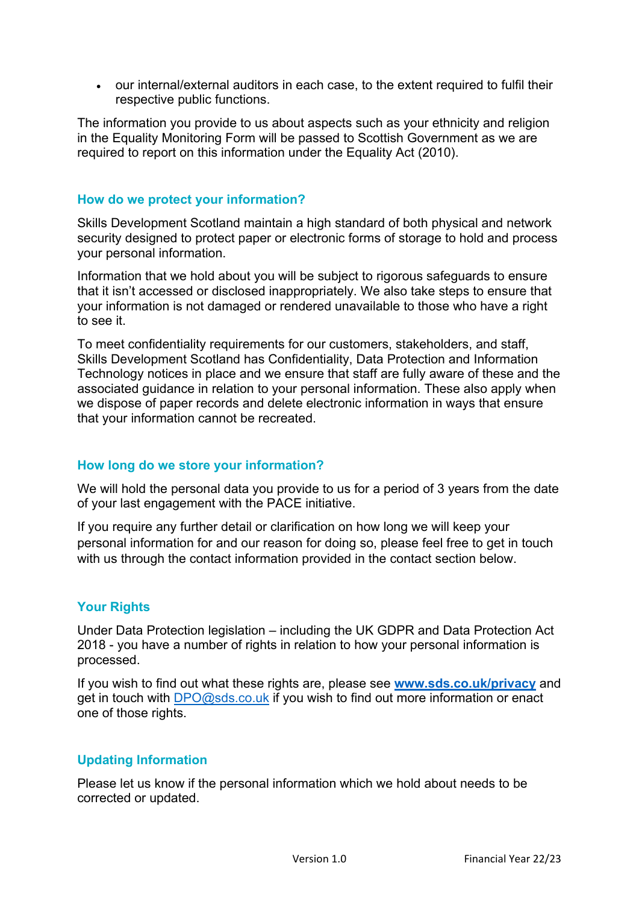• our internal/external auditors in each case, to the extent required to fulfil their respective public functions.

The information you provide to us about aspects such as your ethnicity and religion in the Equality Monitoring Form will be passed to Scottish Government as we are required to report on this information under the Equality Act (2010).

### **How do we protect your information?**

Skills Development Scotland maintain a high standard of both physical and network security designed to protect paper or electronic forms of storage to hold and process your personal information.

Information that we hold about you will be subject to rigorous safeguards to ensure that it isn't accessed or disclosed inappropriately. We also take steps to ensure that your information is not damaged or rendered unavailable to those who have a right to see it.

To meet confidentiality requirements for our customers, stakeholders, and staff, Skills Development Scotland has Confidentiality, Data Protection and Information Technology notices in place and we ensure that staff are fully aware of these and the associated guidance in relation to your personal information. These also apply when we dispose of paper records and delete electronic information in ways that ensure that your information cannot be recreated.

## **How long do we store your information?**

We will hold the personal data you provide to us for a period of 3 years from the date of your last engagement with the PACE initiative.

If you require any further detail or clarification on how long we will keep your personal information for and our reason for doing so, please feel free to get in touch with us through the contact information provided in the contact section below.

### **Your Rights**

Under Data Protection legislation – including the UK GDPR and Data Protection Act 2018 - you have a number of rights in relation to how your personal information is processed.

If you wish to find out what these rights are, please see **[www.sds.co.uk/privacy](http://www.sds.co.uk/privacy)** and get in touch with [DPO@sds.co.uk](mailto:DPO@sds.co.uk) if you wish to find out more information or enact one of those rights.

### **Updating Information**

Please let us know if the personal information which we hold about needs to be corrected or updated.